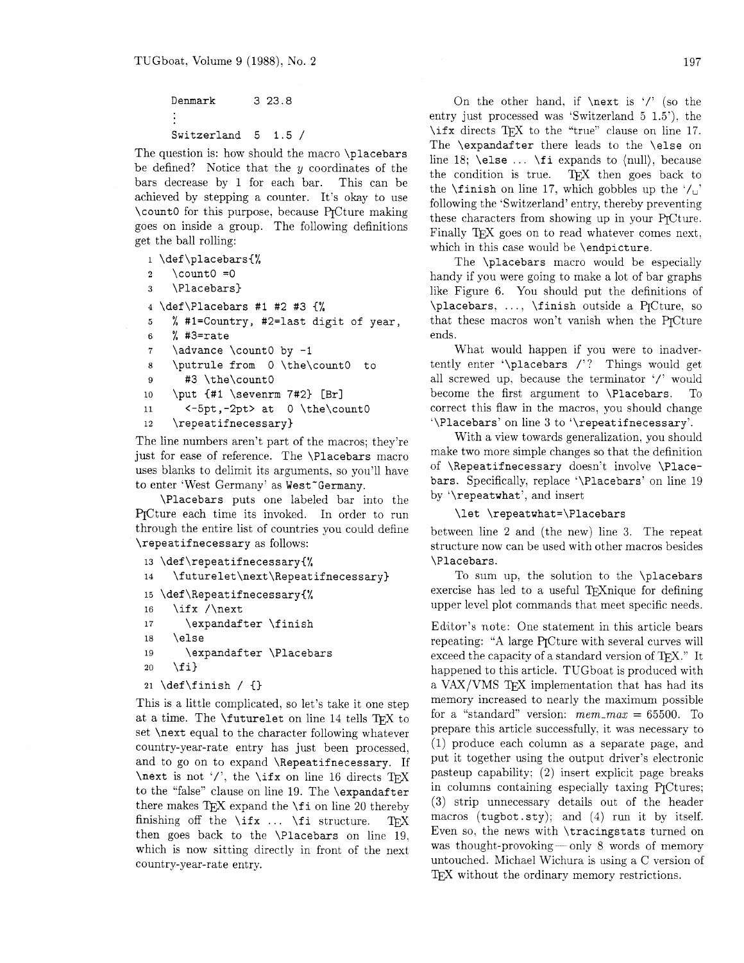# Denmark 3 23.8 Switzerland 5 1.5 /

The question is: how should the macro \placebars be defined? Notice that the  $y$  coordinates of the bars decrease by 1 for each bar. This can be achieved by stepping a counter. It's okay to use \count0 for this purpose, because qCture making goes on inside a group. The following definitions get the ball rolling:

```
1 \def\placebars{%
    \count0 = 0\overline{2}\Placebars}
\bf{3}4 \def\Placebars #1 #2 #3 {%5% #l=Country, #2=last digit of year, 
6 % #3=rate 
7 \advance \count0 by -1
8 \putrule from 0 \the\countO to 
9 #3 \the\countO 
10 \put {#1 \sevenrm 7#2} [Br]
11 <-5pt,-2pt> at 0 \the\countO 
12 \repeatifnecessary)
```
The line numbers aren't part of the macros; they're just for ease of reference. The \Placebars macro uses blarks to delimit its arguments. so you'll have to enter 'West Germany' as West'Germany.

\Placebars puts one labeled bar into the PTCture each time its invoked. In order to run through the entire list of countries you could define \repeat if necessary as follows:

```
13 \def\repeatifnecessary{%
```

```
\futurelet\next\Repeatifnecessary}
14
```

```
15 \def \Repeat ifnecessary(%
```

```
16 \ifx /\next
```

```
17 \expandafter \finish
```

```
18 \else
```
19 \expandafter \Placebars

```
20 \{f_i\}
```

```
21 \def\finish / \{\}
```
This is a little complicated, so let's take it one step at a time. The **\futurelet** on line 14 tells TEX to set \next equal to the character following whatever country-year-rate entry has just been processed, and to go on to expand \Repeatifnecessary. If \next is not '/', the \ifx on line 16 directs TEX to the "false" clause on line 19. The \expandafter there makes  $TFX$  expand the  $\setminus$  f i on line 20 thereby finishing off the  $\iota$ ifx ...  $\iota$ fi structure. TFX then goes back to the \Placebars on line 19, which is now sitting directly in front of the next country-year-rate entry.

On the other hand, if  $\nexthtt{new}{\next}$  is '/' (so the entry just processed was 'Switzerland 5 1.5'). the  $\iint x$  directs TFX to the "true" clause on line 17. The \expandafter there leads to the \else on line 18;  $\text{else} \dots \text{if} i$  expands to  $\text{null}$ , because the condition is true. T<sub>F</sub>X then goes back to TFX then goes back to the  $\tau$  inish on line 17, which gobbles up the '/,' following the 'Switzerland' entry, thereby preventing these characters from showing up in your PrCture. Finally TFX goes on to read whatever comes next. which in this case would be \endpicture.

The \placebars macro would be especially handy if you were going to make a lot of bar graphs like Figure 6. You should put the definitions of \placebars, ..., \finish outside a PrCture, so that these macros won't vanish when the PrCture ends.

What would happen if you were to inadvertently enter '\placebars /'? Things would get all screwed up, because the terminator '/' would become the first argument to **\Placebars**. To correct this flaw in the macros. you should change '\Placebars' on line 3 to '\repeatifnecessary'.

With a view towards generalization. you should make two more simple changes so that the definition of \Repeatifnecessary doesn't involve \Placebars. Specifically. replace '\Placebars' on line 19 by '\repeatwhat', and insert

## \let \repeatwhat=\Placebars

between line 2 and (the new) line 3. The repeat structure now can be used with other macros besides \Placebars.

To sum up. the solution to the \placebars exercise has led to a useful TFX nique for defining upper level plot commands that meet specific needs.

Editor's note: One statement in this article bears repeating: "A large PrCture with several curves will exceed the capacity of a standard version of TFX." It happened to this article. TUGboat is produced with a VAX/VMS TFX implementation that has had its memory increased to nearly the maximum possible for a "standard" version: *mem-max* = 65500. To prepare this article successfully, it was necessary to (1) produce each column as a separate page, and put it together using the output driver's electronic pasteup capability: (2) insert explicit page breaks in columns containing especially taxing PrCtures; (3) strip unnecessary details out of the header macros (tugbot.sty); and (4) run it by itself. Even so. the news with \tracingstats turned on was thought-provoking-only  $8$  words of memory untouched. Michael Wichura is using a C version of TEX without the ordinary memory restrictions.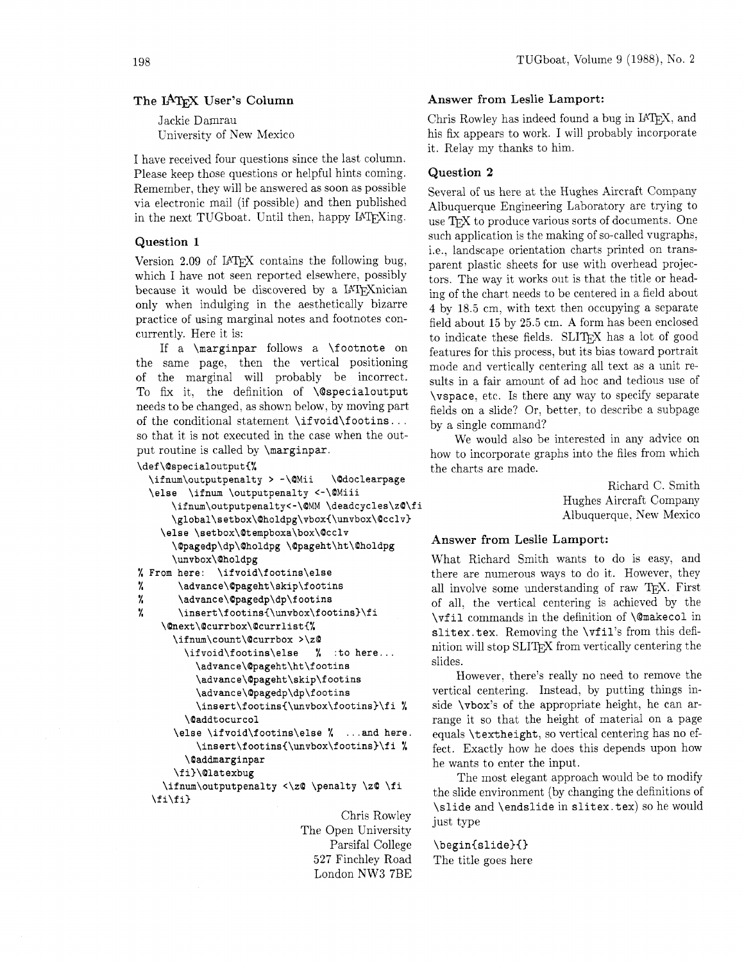## The IATEX User's Column

Jackie Damrau University of New Mexico

I have received four questions since the last column. Please keep those questions or helpful hints coming. Remember, they will be answered as soon as possible via electronic mail (if possible) and then published in the next TUGboat. Until then, happy IATFXing.

## Question 1

Version 2.09 of IAT<sub>E</sub>X contains the following bug, which I have not seen reported elsewhere, possibly because it would be discovered by a IAT<sub>F</sub>Xnician only when indulging in the aesthetically bizarre practice of using marginal notes and footnotes concurrently. Here it is:

If a **\marginpar** follows a **\footnote** on the same page, then the vertical positioning of the marginal will probably be incorrect. To fix it, the definition of **\@specialoutput**  needs to be changed, as shown below, by moving part of the conditional statement **\if void\f ootins** . . . so that it is not executed in the case when the output routine is called by **\marginpar.** 

#### **\def\OspecialoutputC%**

```
\ifnum\outputpenalty > -\OMii \@doclearpage 
  \else \ifnum \outputpenalty <-\QMiii 
      \ifnum\outputpenalty<-\@MM \deadcycles\z@\fi
      \global\setbox\Oholdpg\vbox(\unvbox\Qcclv) 
    \else \setbox\Qtempboxa\box\@cclv 
      \@pagedp\dp\Oholdpg \Qpageht\ht\Oholdpg 
      \unvbox\Qholdpg 
% From here: \ifvoid\footins\else 
% \advance\@pageht\skip\footins<br>% \advance\@pagedp\dp\footins
       % \advance\Qpagedp\dp\footins 
% \insert\footinsi\unvbox\footins)\fi 
    \Qnext\@currbox\@currlist(% 
       \ifnum\count\@currbox >\z@ 
         \ifvoid\footins\else % :to here ... 
           \advance\@pageht\ht\footins 
           \advance\@pageht\skip\footins 
           \advance\@pagedp\dp\footins 
           \insert\footins(\unvbox\footins)\fi % 
         \@addtocurcol 
       \else \ifvoid\footins\else % ... and here. 
           \insert\footins{\unvbox\footins)\fi % 
         \@addmarginpar 
       \f i)\Qlat exbug 
    \ifnum\outputpenalty c\zQ \penalty \z0 \fi 
  \f i\f i)
```
Chris Rowley The Open University Parsifal College 527 Finchley Road London NW3 7BE

## Answer from Leslie Lamport:

Chris Rowley has indeed found a bug in IAT<sub>F</sub>X, and his fix appears to work. I will probably incorporate it. Relay my thanks to him.

#### Question **2**

Several of us here at the Hughes Aircraft Company Albuquerque Engineering Laboratory are trying to use TEX to produce various sorts of documents. One such application is the making of so-called vugraphs. i.e., landscape orientation charts printed on transparent plastic sheets for use with overhead projectors. The way it works out is that the title or heading of the chart needs to be centered in a field about 4 by 18.5 cm, with text then occupying a separate field about 15 by 25.5 cm. A form has been enclosed to indicate these fields. SLIT<sub>F</sub>X has a lot of good features for this process, but its bias toward portrait mode and vertically centering all text as a unit results in a fair amount of ad hoc and tedious use of **\vspace,** etc. Is there any way to specify separate fields on a slide? Or. better. to describe a subpage by a single command?

We would also be interested in any advice on how to incorporate graphs into the files from which the charts are made.

> Richard C. Smith **i** Hughes Aircraft Company Albuquerque. Yew Mexico

#### Answer from Leslie Lamport:

What Richard Smith wants to do is easy, and there are numerous ways to do it. However, they all involve some understanding of raw TFX. First of all. the vertical centering is achieved by the **\vf il** commands in the definition of **\@makecol** in slitex.tex. Removing the **\vfil**'s from this definition will stop SLIT<sub>F</sub>X from vertically centering the slides.

However. there's really no need to remove the vertical centering. Instead. by putting things inside **\vbox's** of the appropriate height, he can arrange it so that the height of material on a page equals **\textheight.** so vertical centering has no effect. Exactly how he does this depends upon how he wants to enter the input.

The most elegant approach would be to modify the slide environment (by changing the definitions of **\slide** and **\endslide** in **slitex.tex)** so he would just type

**\begin{slide){)**  The title goes here